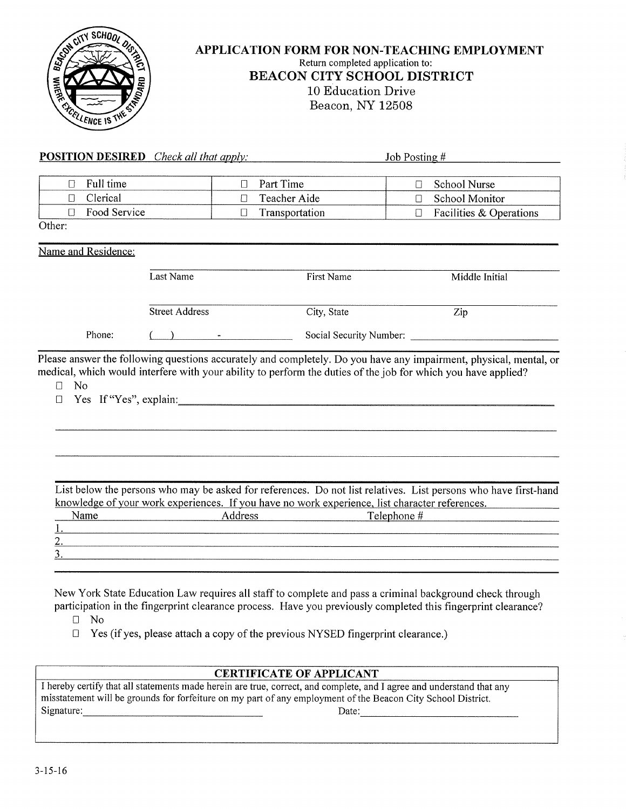

#### **APPLICATION FORM FOR NON-TEACHING EMPLOYMENT**  Return completed application to: BEACON CITY SCHOOL DISTRICT 10 Education Drive Beacon, NY 12508

| <b>POSITION DESIRED</b> Check all that apply: |                                                                                    |                          | Job Posting $#$                                                                                                                                                                                                                    |  |  |  |  |
|-----------------------------------------------|------------------------------------------------------------------------------------|--------------------------|------------------------------------------------------------------------------------------------------------------------------------------------------------------------------------------------------------------------------------|--|--|--|--|
| Full time<br>$\Box$                           |                                                                                    | Part Time<br>$\Box$      | <b>School Nurse</b><br>$\Box$                                                                                                                                                                                                      |  |  |  |  |
| Clerical<br>$\Box$                            |                                                                                    | Teacher Aide<br>$\Box$   | School Monitor<br>П                                                                                                                                                                                                                |  |  |  |  |
| Food Service<br>$\Box$                        |                                                                                    | Transportation<br>$\Box$ | Facilities & Operations<br>$\Box$                                                                                                                                                                                                  |  |  |  |  |
| Other:                                        |                                                                                    |                          |                                                                                                                                                                                                                                    |  |  |  |  |
| Name and Residence:                           |                                                                                    |                          |                                                                                                                                                                                                                                    |  |  |  |  |
|                                               | Last Name                                                                          | First Name               | Middle Initial                                                                                                                                                                                                                     |  |  |  |  |
|                                               | <b>Street Address</b>                                                              | City, State              | Zip                                                                                                                                                                                                                                |  |  |  |  |
| Phone:                                        | $\begin{array}{ccc} \begin{array}{ccc} \end{array} \begin{array}{ccc} \end{array}$ |                          | Social Security Number:                                                                                                                                                                                                            |  |  |  |  |
| <b>No</b><br>П<br>П                           |                                                                                    | Yes If "Yes", explain:   |                                                                                                                                                                                                                                    |  |  |  |  |
| Name                                          |                                                                                    | Address Address          | List below the persons who may be asked for references. Do not list relatives. List persons who have first-hand<br>knowledge of your work experiences. If you have no work experience, list character references.<br>Telephone $#$ |  |  |  |  |
|                                               |                                                                                    |                          |                                                                                                                                                                                                                                    |  |  |  |  |

New York State Education Law requires all staff to complete and pass a criminal background check through participation in the fingerprint clearance process. Have you previously completed this fingerprint clearance?

- O No
- $\Box$  Yes (if yes, please attach a copy of the previous NYSED fingerprint clearance.)

#### CERTIFICATE OF APPLICANT

I hereby certify that all statements made herein are true, correct, and complete, and I agree and understand that any misstatement will be grounds for forfeiture on my part of any employment of the Beacon City School District. Signature: Date: Date: Date: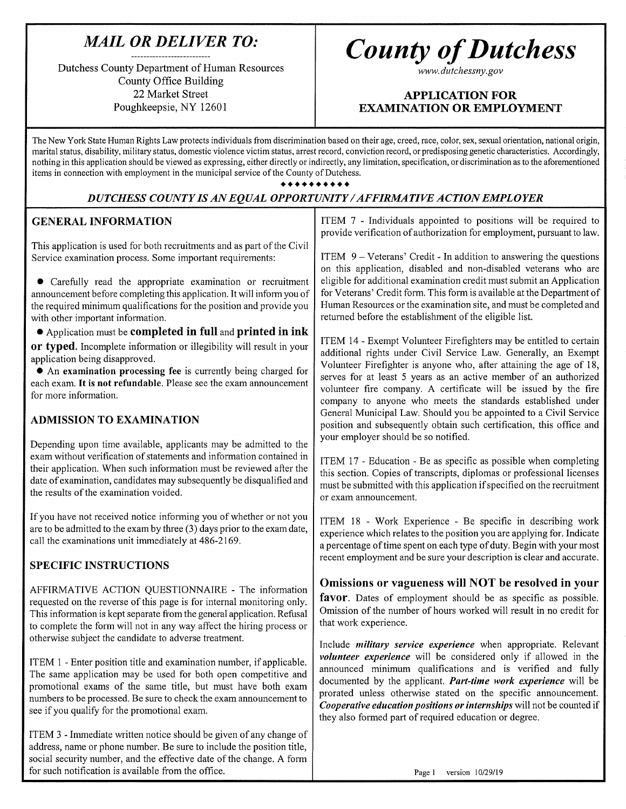### *MAIL OR DELIVER TO:*

Dutchess County Department of Human Resources County Office Building 22 Market Street Poughkeepsie, NY 12601

# *County of Dutchess*

*www.dutchessny.gov*

#### APPLICATION FOR EXAMINATION OR EMPLOYMENT

The New York State Human Rights Law protects individuals from discrimination based on their age, creed, race, color, sex, sexual orientation, national origin, marital status, disability, military status, domestic violence victim status, arrest record, conviction record, or predisposing genetic characteristics. Accordingly, nothing in this application should be viewed as expressing, either directly or indirectly, any limitation, specification, or discrimination as to the aforementioned items in connection with employment in the municipal service of the County of Dutchess.

• • • • • • • • • •

#### *DUTCHESS COUNTY IS AN EQUAL OPPORTUNITY/AFFIRMATIVE ACTION EMPLOYER*

#### GENERAL INFORMATION

This application is used for both recruitments and as part of the Civil Service examination process. Some important requirements:

• Carefully read the appropriate examination or recruitment announcement before completing this application. It will inform you of the required minimum qualifications for the position and provide you with other important information.

• Application must be completed in full and printed in ink or typed. Incomplete information or illegibility will result in your application being disapproved.

• An examination processing fee is currently being charged for each exam. It is not refundable. Please see the exam announcement for more information.

#### ADMISSION TO EXAMINATION

Depending upon time available, applicants may be admitted to the exam without verification of statements and information contained in their application. When such information must be reviewed after the date of examination, candidates may subsequently be disqualified and the results of the examination voided.

If you have not received notice informing you of whether or not you are to be admitted to the exam by three (3) days prior to the exam date, call the examinations unit immediately at 486-2169.

#### SPECIFIC INSTRUCTIONS

AFFIRMATIVE ACTION QUESTIONNAIRE - The information requested on the reverse of this page is for internal monitoring only. This information is kept separate from the general application. Refusal to complete the form will not in any way affect the hiring process or otherwise subject the candidate to adverse treatment.

ITEM 1 - Enter position title and examination number, if applicable. The same application may be used for both open competitive and promotional exams of the same title, but must have both exam numbers to be processed. Be sure to check the exam announcement to see if you qualify for the promotional exam.

ITEM 3 - Immediate written notice should be given of any change of address, name or phone number. Be sure to include the position title, social security number, and the effective date of the change. A form for such notification is available from the office.

ITEM 7 - Individuals appointed to positions will be required to provide verification of authorization for employment, pursuant to law.

ITEM 9 — Veterans' Credit - In addition to answering the questions on this application, disabled and non-disabled veterans who are eligible for additional examination credit must submit an Application for Veterans' Credit form. This form is available at the Department of Human Resources or the examination site, and must be completed and returned before the establishment of the eligible list.

ITEM 14 - Exempt Volunteer Firefighters may be entitled to certain additional rights under Civil Service Law. Generally, an Exempt Volunteer Firefighter is anyone who, after attaining the age of 18, serves for at least 5 years as an active member of an authorized volunteer fire company. A certificate will be issued by the fire company to anyone who meets the standards established under General Municipal Law. Should you be appointed to a Civil Service position and subsequently obtain such certification, this office and your employer should be so notified.

ITEM 17 - Education - Be as specific as possible when completing this section. Copies of transcripts, diplomas or professional licenses must be submitted with this application if specified on the recruitment or exam announcement.

ITEM 18 - Work Experience - Be specific in describing work experience which relates to the position you are applying for. Indicate a percentage of time spent on each type of duty. Begin with your most recent employment and be sure your description is clear and accurate.

#### Omissions or vagueness will NOT be resolved in your

favor. Dates of employment should be as specific as possible. Omission of the number of hours worked will result in no credit for that work experience.

Include *military service experience* when appropriate. Relevant *volunteer experience* will be considered only if allowed in the announced minimum qualifications and is verified and fully documented by the applicant. *Part-time work experience* will be prorated unless otherwise stated on the specific announcement. *Cooperative education positions or internships* will not be counted if they also formed part of required education or degree.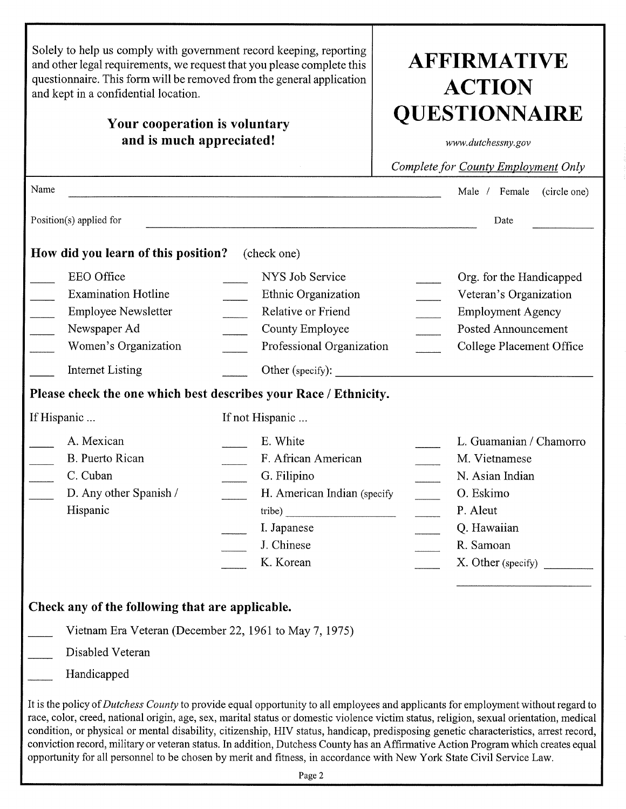| Solely to help us comply with government record keeping, reporting<br>and other legal requirements, we request that you please complete this<br>questionnaire. This form will be removed from the general application<br>and kept in a confidential location.<br>Your cooperation is voluntary<br>and is much appreciated! | <b>AFFIRMATIVE</b><br><b>ACTION</b><br><b>QUESTIONNAIRE</b><br>www.dutchessny.gov<br>Complete for County Employment Only          |                                                                                                                                                                                                                                                                                                                                                                                                                                                                                                                                                           |  |  |
|----------------------------------------------------------------------------------------------------------------------------------------------------------------------------------------------------------------------------------------------------------------------------------------------------------------------------|-----------------------------------------------------------------------------------------------------------------------------------|-----------------------------------------------------------------------------------------------------------------------------------------------------------------------------------------------------------------------------------------------------------------------------------------------------------------------------------------------------------------------------------------------------------------------------------------------------------------------------------------------------------------------------------------------------------|--|--|
| Name                                                                                                                                                                                                                                                                                                                       |                                                                                                                                   | Male / Female<br>(circle one)                                                                                                                                                                                                                                                                                                                                                                                                                                                                                                                             |  |  |
| Position(s) applied for                                                                                                                                                                                                                                                                                                    |                                                                                                                                   | Date                                                                                                                                                                                                                                                                                                                                                                                                                                                                                                                                                      |  |  |
| How did you learn of this position?                                                                                                                                                                                                                                                                                        | (check one)                                                                                                                       |                                                                                                                                                                                                                                                                                                                                                                                                                                                                                                                                                           |  |  |
| EEO Office<br><b>Examination Hotline</b><br><b>Employee Newsletter</b><br>$\overline{\phantom{a}}$<br>Newspaper Ad<br>Women's Organization                                                                                                                                                                                 | NYS Job Service<br>Ethnic Organization<br>Relative or Friend<br>County Employee<br>Professional Organization                      | Org. for the Handicapped<br>Veteran's Organization<br><b>Employment Agency</b><br><b>Posted Announcement</b><br>College Placement Office                                                                                                                                                                                                                                                                                                                                                                                                                  |  |  |
| <b>Internet Listing</b>                                                                                                                                                                                                                                                                                                    |                                                                                                                                   |                                                                                                                                                                                                                                                                                                                                                                                                                                                                                                                                                           |  |  |
| Please check the one which best describes your Race / Ethnicity.                                                                                                                                                                                                                                                           |                                                                                                                                   |                                                                                                                                                                                                                                                                                                                                                                                                                                                                                                                                                           |  |  |
| If Hispanic                                                                                                                                                                                                                                                                                                                | If not Hispanic                                                                                                                   |                                                                                                                                                                                                                                                                                                                                                                                                                                                                                                                                                           |  |  |
| A. Mexican<br>B. Puerto Rican<br>C. Cuban<br>D. Any other Spanish /<br>Hispanic                                                                                                                                                                                                                                            | E. White<br>F. African American<br>G. Filipino<br>H. American Indian (specify<br>tribe)<br>I. Japanese<br>J. Chinese<br>K. Korean | L. Guamanian / Chamorro<br>M. Vietnamese<br>N. Asian Indian<br>O. Eskimo<br>P. Aleut<br>Q. Hawaiian<br>R. Samoan<br>X. Other (specify)                                                                                                                                                                                                                                                                                                                                                                                                                    |  |  |
| Check any of the following that are applicable.                                                                                                                                                                                                                                                                            |                                                                                                                                   |                                                                                                                                                                                                                                                                                                                                                                                                                                                                                                                                                           |  |  |
| Vietnam Era Veteran (December 22, 1961 to May 7, 1975)                                                                                                                                                                                                                                                                     |                                                                                                                                   |                                                                                                                                                                                                                                                                                                                                                                                                                                                                                                                                                           |  |  |
| Disabled Veteran                                                                                                                                                                                                                                                                                                           |                                                                                                                                   |                                                                                                                                                                                                                                                                                                                                                                                                                                                                                                                                                           |  |  |
| Handicapped                                                                                                                                                                                                                                                                                                                |                                                                                                                                   |                                                                                                                                                                                                                                                                                                                                                                                                                                                                                                                                                           |  |  |
| opportunity for all personnel to be chosen by merit and fitness, in accordance with New York State Civil Service Law.                                                                                                                                                                                                      |                                                                                                                                   | It is the policy of Dutchess County to provide equal opportunity to all employees and applicants for employment without regard to<br>race, color, creed, national origin, age, sex, marital status or domestic violence victim status, religion, sexual orientation, medical<br>condition, or physical or mental disability, citizenship, HIV status, handicap, predisposing genetic characteristics, arrest record,<br>conviction record, military or veteran status. In addition, Dutchess County has an Affirmative Action Program which creates equal |  |  |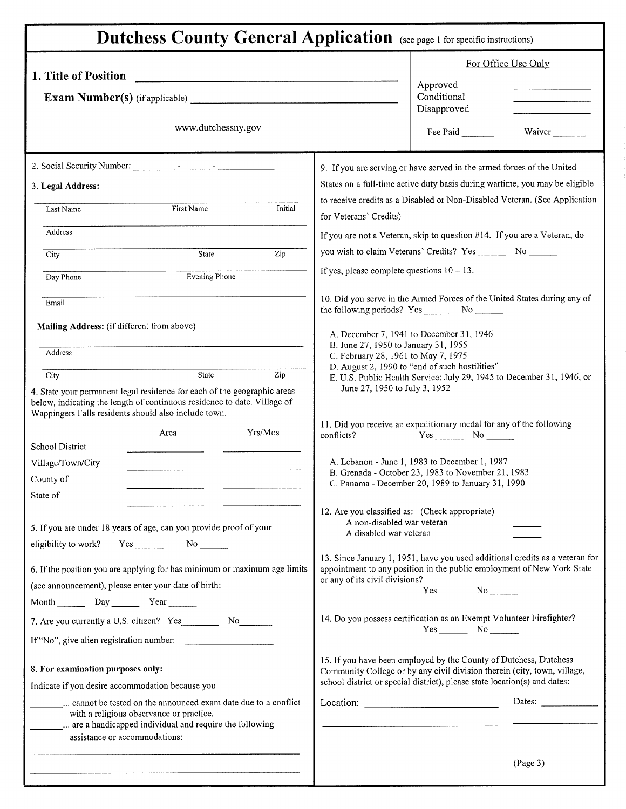| <b>Dutchess County General Application</b> (see page 1 for specific instructions)                                                                                                                            |                                                                                                                                                                                                                            |  |  |  |  |
|--------------------------------------------------------------------------------------------------------------------------------------------------------------------------------------------------------------|----------------------------------------------------------------------------------------------------------------------------------------------------------------------------------------------------------------------------|--|--|--|--|
| 1. Title of Position                                                                                                                                                                                         | For Office Use Only                                                                                                                                                                                                        |  |  |  |  |
| <b>Exam Number(s)</b> (if applicable)                                                                                                                                                                        | Approved<br>Conditional<br>Disapproved                                                                                                                                                                                     |  |  |  |  |
| www.dutchessny.gov                                                                                                                                                                                           | Fee Paid<br>Waiver                                                                                                                                                                                                         |  |  |  |  |
|                                                                                                                                                                                                              | 9. If you are serving or have served in the armed forces of the United                                                                                                                                                     |  |  |  |  |
| 3. Legal Address:                                                                                                                                                                                            | States on a full-time active duty basis during wartime, you may be eligible                                                                                                                                                |  |  |  |  |
| Initial<br>First Name<br>Last Name                                                                                                                                                                           | to receive credits as a Disabled or Non-Disabled Veteran. (See Application<br>for Veterans' Credits)                                                                                                                       |  |  |  |  |
| Address                                                                                                                                                                                                      | If you are not a Veteran, skip to question #14. If you are a Veteran, do                                                                                                                                                   |  |  |  |  |
| Zip<br>State<br>City                                                                                                                                                                                         | you wish to claim Veterans' Credits? Yes ________ No _______                                                                                                                                                               |  |  |  |  |
| Evening Phone<br>Day Phone                                                                                                                                                                                   | If yes, please complete questions $10 - 13$ .                                                                                                                                                                              |  |  |  |  |
| Email                                                                                                                                                                                                        | 10. Did you serve in the Armed Forces of the United States during any of                                                                                                                                                   |  |  |  |  |
| Mailing Address: (if different from above)                                                                                                                                                                   |                                                                                                                                                                                                                            |  |  |  |  |
| Address                                                                                                                                                                                                      | A. December 7, 1941 to December 31, 1946<br>B. June 27, 1950 to January 31, 1955<br>C. February 28, 1961 to May 7, 1975                                                                                                    |  |  |  |  |
| State<br>Zip<br>City                                                                                                                                                                                         | D. August 2, 1990 to "end of such hostilities"<br>E. U.S. Public Health Service: July 29, 1945 to December 31, 1946, or                                                                                                    |  |  |  |  |
| 4. State your permanent legal residence for each of the geographic areas<br>below, indicating the length of continuous residence to date. Village of<br>Wappingers Falls residents should also include town. | June 27, 1950 to July 3, 1952                                                                                                                                                                                              |  |  |  |  |
| Yrs/Mos<br>Area                                                                                                                                                                                              | 11. Did you receive an expeditionary medal for any of the following<br>conflicts?                                                                                                                                          |  |  |  |  |
| School District                                                                                                                                                                                              |                                                                                                                                                                                                                            |  |  |  |  |
| Village/Town/City                                                                                                                                                                                            | A. Lebanon - June 1, 1983 to December 1, 1987                                                                                                                                                                              |  |  |  |  |
| County of                                                                                                                                                                                                    | B. Grenada - October 23, 1983 to November 21, 1983<br>C. Panama - December 20, 1989 to January 31, 1990                                                                                                                    |  |  |  |  |
| State of                                                                                                                                                                                                     |                                                                                                                                                                                                                            |  |  |  |  |
| 5. If you are under 18 years of age, can you provide proof of your                                                                                                                                           | 12. Are you classified as: (Check appropriate)<br>A non-disabled war veteran<br>A disabled war veteran                                                                                                                     |  |  |  |  |
| $Yes$ No $No$<br>eligibility to work?                                                                                                                                                                        |                                                                                                                                                                                                                            |  |  |  |  |
| 6. If the position you are applying for has minimum or maximum age limits                                                                                                                                    | 13. Since January 1, 1951, have you used additional credits as a veteran for<br>appointment to any position in the public employment of New York State                                                                     |  |  |  |  |
| (see announcement), please enter your date of birth:                                                                                                                                                         | or any of its civil divisions?                                                                                                                                                                                             |  |  |  |  |
| Month Day Year                                                                                                                                                                                               |                                                                                                                                                                                                                            |  |  |  |  |
| 7. Are you currently a U.S. citizen? Yes No                                                                                                                                                                  | 14. Do you possess certification as an Exempt Volunteer Firefighter?<br>$Yes$ No $\_\_\_\_\$                                                                                                                               |  |  |  |  |
| If "No", give alien registration number:                                                                                                                                                                     |                                                                                                                                                                                                                            |  |  |  |  |
| 8. For examination purposes only:                                                                                                                                                                            | 15. If you have been employed by the County of Dutchess, Dutchess<br>Community College or by any civil division therein (city, town, village,<br>school district or special district), please state location(s) and dates: |  |  |  |  |
| Indicate if you desire accommodation because you                                                                                                                                                             |                                                                                                                                                                                                                            |  |  |  |  |
| cannot be tested on the announced exam date due to a conflict<br>with a religious observance or practice.<br>assistance or accommodations:                                                                   | Dates:<br>Location:                                                                                                                                                                                                        |  |  |  |  |
|                                                                                                                                                                                                              | (Page 3)                                                                                                                                                                                                                   |  |  |  |  |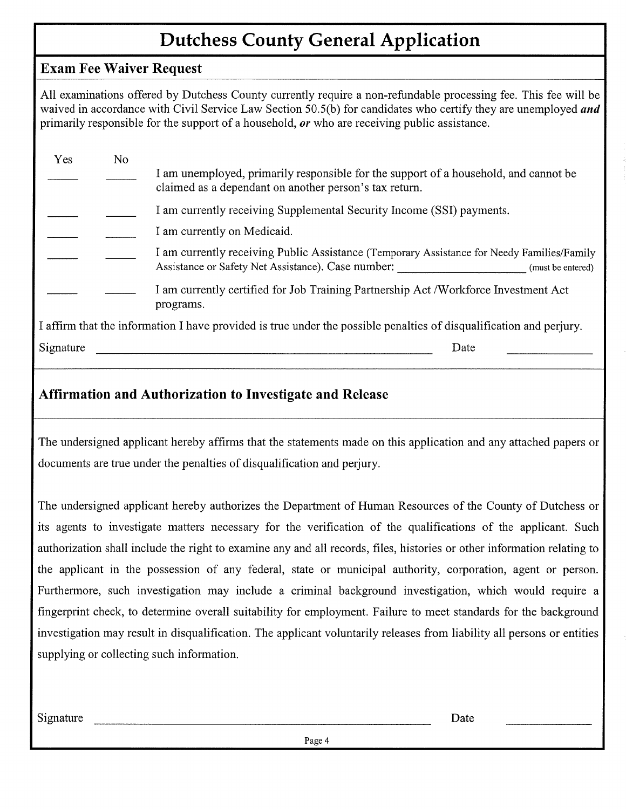## **Dutchess County General Application**

#### **Exam Fee Waiver Request**

All examinations offered by Dutchess County currently require a non-refundable processing fee. This fee will be waived in accordance with Civil Service Law Section 50.5(b) for candidates who certify they are unemployed *and* primarily responsible for the support of a household, *or* who are receiving public assistance.

| Yes | No |                                                                                                                                                                       |
|-----|----|-----------------------------------------------------------------------------------------------------------------------------------------------------------------------|
|     |    | I am unemployed, primarily responsible for the support of a household, and cannot be<br>claimed as a dependant on another person's tax return.                        |
|     |    | I am currently receiving Supplemental Security Income (SSI) payments.                                                                                                 |
|     |    | I am currently on Medicaid.                                                                                                                                           |
|     |    | I am currently receiving Public Assistance (Temporary Assistance for Needy Families/Family<br>Assistance or Safety Net Assistance). Case number:<br>(must be entered) |
|     |    | I am currently certified for Job Training Partnership Act /Workforce Investment Act<br>programs.                                                                      |

I affirm that the information I have provided is true under the possible penalties of disqualification and perjury.

Signature Date

#### **Affirmation and Authorization to Investigate and Release**

The undersigned applicant hereby affirms that the statements made on this application and any attached papers or documents are true under the penalties of disqualification and perjury.

The undersigned applicant hereby authorizes the Department of Human Resources of the County of Dutchess or its agents to investigate matters necessary for the verification of the qualifications of the applicant. Such authorization shall include the right to examine any and all records, files, histories or other information relating to the applicant in the possession of any federal, state or municipal authority, corporation, agent or person. Furthermore, such investigation may include a criminal background investigation, which would require a fingerprint check, to determine overall suitability for employment. Failure to meet standards for the background investigation may result in disqualification. The applicant voluntarily releases from liability all persons or entities supplying or collecting such information.

Signature Date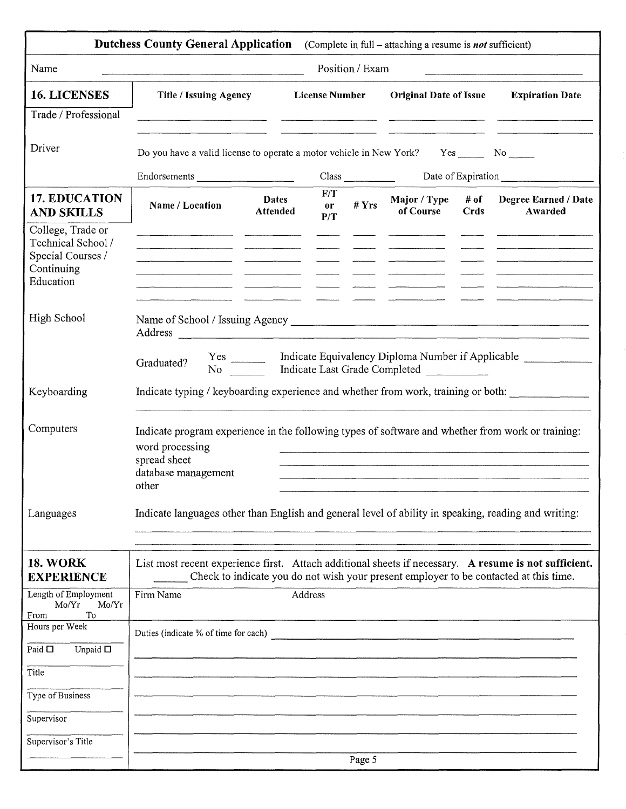|                                                                                         | <b>Dutchess County General Application</b> (Complete in full – attaching a resume is not sufficient)                                                                 |                                 |                       |         |                                  |  |                                                                                       |
|-----------------------------------------------------------------------------------------|----------------------------------------------------------------------------------------------------------------------------------------------------------------------|---------------------------------|-----------------------|---------|----------------------------------|--|---------------------------------------------------------------------------------------|
| Name                                                                                    | Position / Exam                                                                                                                                                      |                                 |                       |         |                                  |  |                                                                                       |
| <b>16. LICENSES</b>                                                                     | <b>Title / Issuing Agency</b>                                                                                                                                        |                                 | <b>License Number</b> |         | <b>Original Date of Issue</b>    |  | <b>Expiration Date</b>                                                                |
| Trade / Professional                                                                    |                                                                                                                                                                      |                                 |                       |         |                                  |  |                                                                                       |
| Driver                                                                                  | Do you have a valid license to operate a motor vehicle in New York? Yes ______ No                                                                                    |                                 |                       |         |                                  |  |                                                                                       |
|                                                                                         |                                                                                                                                                                      |                                 |                       |         |                                  |  |                                                                                       |
| <b>17. EDUCATION</b><br><b>AND SKILLS</b>                                               | Name / Location                                                                                                                                                      | <b>Dates</b><br><b>Attended</b> | F/T<br>or<br>P/T      | # $Yrs$ | of Course Crds                   |  | Major / Type # of Degree Earned / Date<br>Awarded                                     |
| College, Trade or<br>Technical School /<br>Special Courses /<br>Continuing<br>Education |                                                                                                                                                                      |                                 |                       |         |                                  |  |                                                                                       |
| High School                                                                             |                                                                                                                                                                      |                                 |                       |         |                                  |  |                                                                                       |
|                                                                                         | Graduated?                                                                                                                                                           |                                 |                       |         | No Indicate Last Grade Completed |  | Yes _________ Indicate Equivalency Diploma Number if Applicable _______________       |
| Keyboarding                                                                             | Indicate typing / keyboarding experience and whether from work, training or both:                                                                                    |                                 |                       |         |                                  |  |                                                                                       |
| Computers                                                                               | Indicate program experience in the following types of software and whether from work or training:<br>word processing<br>spread sheet<br>database management<br>other |                                 |                       |         |                                  |  |                                                                                       |
| Languages                                                                               | Indicate languages other than English and general level of ability in speaking, reading and writing:                                                                 |                                 |                       |         |                                  |  |                                                                                       |
| <b>18. WORK</b><br><b>EXPERIENCE</b>                                                    | List most recent experience first. Attach additional sheets if necessary. A resume is not sufficient.                                                                |                                 |                       |         |                                  |  | Check to indicate you do not wish your present employer to be contacted at this time. |
| Length of Employment<br>Mo/Yr<br>Mo/Yr<br>To<br>From                                    | Firm Name                                                                                                                                                            |                                 | Address               |         |                                  |  |                                                                                       |
| Hours per Week                                                                          | Duties (indicate % of time for each)                                                                                                                                 |                                 |                       |         |                                  |  |                                                                                       |
| Paid $\Box$<br>Unpaid $\Box$                                                            |                                                                                                                                                                      |                                 |                       |         |                                  |  |                                                                                       |
| Title                                                                                   |                                                                                                                                                                      |                                 |                       |         |                                  |  |                                                                                       |
| Type of Business                                                                        |                                                                                                                                                                      |                                 |                       |         |                                  |  |                                                                                       |
| Supervisor                                                                              |                                                                                                                                                                      |                                 |                       |         |                                  |  |                                                                                       |
| Supervisor's Title                                                                      |                                                                                                                                                                      |                                 |                       | Page 5  |                                  |  |                                                                                       |